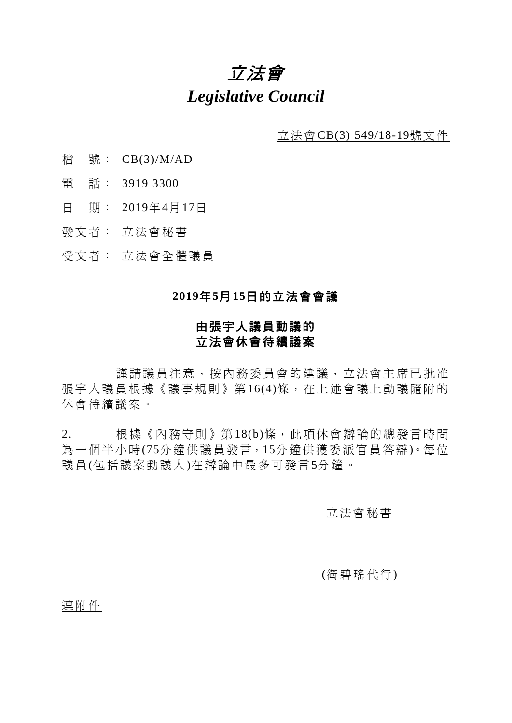# 立法會 *Legislative Council*

立法會CB(3) 549/18-19號文件

- 檔 號: CB(3)/M/AD
- 電 話: 3919 3300
- 日 期: 2019年4月17日
- 發文者: 立法會秘書
- 受文者: 立法會全體議員

### **2019**年**5**月**15**日的立法會會議

# 由張宇人議員動議的 立法會休會待續議案

謹請議員注意,按內務委員會的建議,立法會主席已批准 張宇人議員根據《議事規則》第16(4)條,在上述會議上動議隨附的 休會待續議案。

2. 根據《內務守則》第18(b)條,此項休會辯論的總發言時間 為一個半小時(75分鐘供議員發言,15分鐘供獲委派官員答辯)。每位 議員(包括議案動議人)在辯論中最多可發言5分鐘。

## 立法會秘書

### (衛碧瑤代行)

#### 連附件